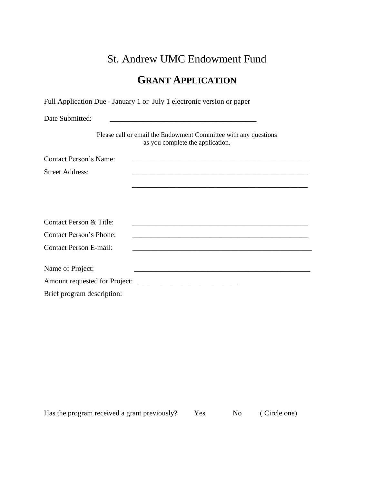# St. Andrew UMC Endowment Fund

## **GRANT APPLICATION**

Full Application Due - January 1 or July 1 electronic version or paper

Date Submitted: \_\_\_\_\_\_\_\_\_\_\_\_\_\_\_\_\_\_\_\_\_\_\_\_\_\_\_\_\_\_\_\_\_\_\_\_\_\_\_\_

Please call or email the Endowment Committee with any questions as you complete the application.

\_\_\_\_\_\_\_\_\_\_\_\_\_\_\_\_\_\_\_\_\_\_\_\_\_\_\_\_\_\_\_\_\_\_\_\_\_\_\_\_\_\_\_\_\_\_\_\_

Contact Person's Name: \_\_\_\_\_\_\_\_\_\_\_\_\_\_\_\_\_\_\_\_\_\_\_\_\_\_\_\_\_\_\_\_\_\_\_\_\_\_\_\_\_\_\_\_\_\_\_\_

Street Address:

| Contact Person & Title:        |  |
|--------------------------------|--|
| <b>Contact Person's Phone:</b> |  |
| <b>Contact Person E-mail:</b>  |  |
|                                |  |
| Name of Project:               |  |
| Amount requested for Project:  |  |
| Brief program description:     |  |

Has the program received a grant previously? Yes No (Circle one)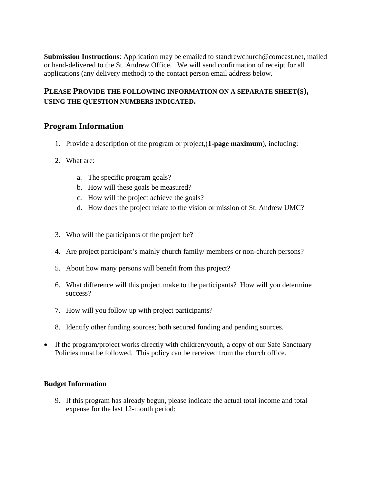**Submission Instructions**: Application may be emailed to [standrewchurch@comcast.net,](mailto:standrewchurch@comcast.net) mailed or hand-delivered to the St. Andrew Office. We will send confirmation of receipt for all applications (any delivery method) to the contact person email address below.

#### **PLEASE PROVIDE THE FOLLOWING INFORMATION ON A SEPARATE SHEET(S), USING THE QUESTION NUMBERS INDICATED.**

#### **Program Information**

- 1. Provide a description of the program or project,(**1-page maximum**), including:
- 2. What are:
	- a. The specific program goals?
	- b. How will these goals be measured?
	- c. How will the project achieve the goals?
	- d. How does the project relate to the vision or mission of St. Andrew UMC?
- 3. Who will the participants of the project be?
- 4. Are project participant's mainly church family/ members or non-church persons?
- 5. About how many persons will benefit from this project?
- 6. What difference will this project make to the participants? How will you determine success?
- 7. How will you follow up with project participants?
- 8. Identify other funding sources; both secured funding and pending sources.
- If the program/project works directly with children/youth, a copy of our Safe Sanctuary Policies must be followed. This policy can be received from the church office.

#### **Budget Information**

9. If this program has already begun, please indicate the actual total income and total expense for the last 12-month period: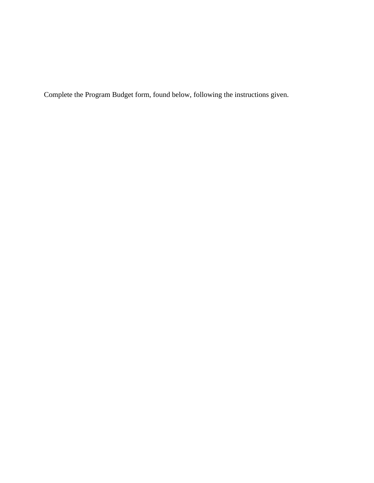Complete the Program Budget form, found below, following the instructions given.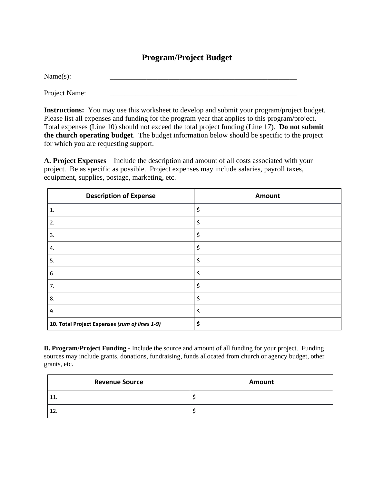### **Program/Project Budget**

Name(s): \_\_\_\_\_\_\_\_\_\_\_\_\_\_\_\_\_\_\_\_\_\_\_\_\_\_\_\_\_\_\_\_\_\_\_\_\_\_\_\_\_\_\_\_\_\_\_\_\_\_\_

Project Name:

**Instructions:** You may use this worksheet to develop and submit your program/project budget. Please list all expenses and funding for the program year that applies to this program/project. Total expenses (Line 10) should not exceed the total project funding (Line 17). **Do not submit the church operating budget**. The budget information below should be specific to the project for which you are requesting support.

**A. Project Expenses** – Include the description and amount of all costs associated with your project. Be as specific as possible. Project expenses may include salaries, payroll taxes, equipment, supplies, postage, marketing, etc.

| <b>Description of Expense</b>                 | <b>Amount</b> |
|-----------------------------------------------|---------------|
| 1.                                            | \$            |
| 2.                                            | \$            |
| 3.                                            | \$            |
| 4.                                            | \$            |
| 5.                                            | \$            |
| 6.                                            | \$            |
| 7.                                            | \$            |
| 8.                                            | \$            |
| 9.                                            | \$            |
| 10. Total Project Expenses (sum of lines 1-9) | \$            |

**B. Program/Project Funding -** Include the source and amount of all funding for your project. Funding sources may include grants, donations, fundraising, funds allocated from church or agency budget, other grants, etc.

| <b>Revenue Source</b> | Amount |
|-----------------------|--------|
| <b>++</b>             |        |
| 12.                   |        |